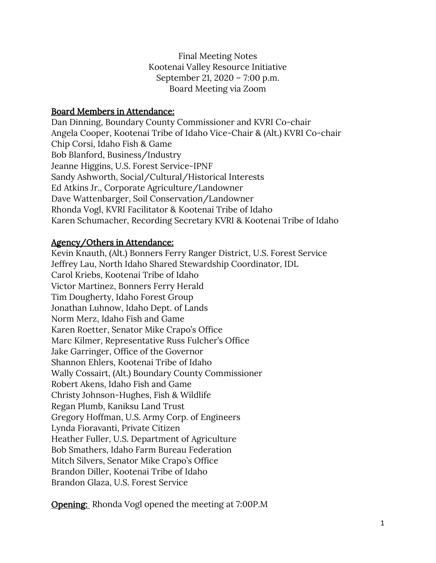Final Meeting Notes Kootenai Valley Resource Initiative September 21, 2020 – 7:00 p.m. Board Meeting via Zoom

#### Board Members in Attendance:

Dan Dinning, Boundary County Commissioner and KVRI Co-chair Angela Cooper, Kootenai Tribe of Idaho Vice-Chair & (Alt.) KVRI Co-chair Chip Corsi, Idaho Fish & Game Bob Blanford, Business/Industry Jeanne Higgins, U.S. Forest Service-IPNF Sandy Ashworth, Social/Cultural/Historical Interests Ed Atkins Jr., Corporate Agriculture/Landowner Dave Wattenbarger, Soil Conservation/Landowner Rhonda Vogl, KVRI Facilitator & Kootenai Tribe of Idaho Karen Schumacher, Recording Secretary KVRI & Kootenai Tribe of Idaho

#### Agency/Others in Attendance:

Kevin Knauth, (Alt.) Bonners Ferry Ranger District, U.S. Forest Service Jeffrey Lau, North Idaho Shared Stewardship Coordinator, IDL Carol Kriebs, Kootenai Tribe of Idaho Victor Martinez, Bonners Ferry Herald Tim Dougherty, Idaho Forest Group Jonathan Luhnow, Idaho Dept. of Lands Norm Merz, Idaho Fish and Game Karen Roetter, Senator Mike Crapo's Office Marc Kilmer, Representative Russ Fulcher's Office Jake Garringer, Office of the Governor Shannon Ehlers, Kootenai Tribe of Idaho Wally Cossairt, (Alt.) Boundary County Commissioner Robert Akens, Idaho Fish and Game Christy Johnson-Hughes, Fish & Wildlife Regan Plumb, Kaniksu Land Trust Gregory Hoffman, U.S. Army Corp. of Engineers Lynda Fioravanti, Private Citizen Heather Fuller, U.S. Department of Agriculture Bob Smathers, Idaho Farm Bureau Federation Mitch Silvers, Senator Mike Crapo's Office Brandon Diller, Kootenai Tribe of Idaho Brandon Glaza, U.S. Forest Service

**Opening:** Rhonda Vogl opened the meeting at 7:00P.M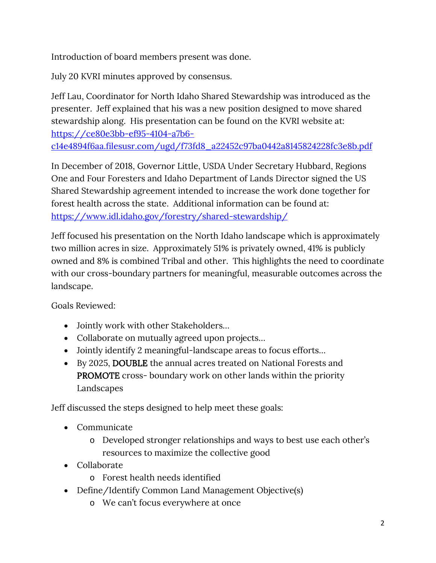Introduction of board members present was done.

July 20 KVRI minutes approved by consensus.

Jeff Lau, Coordinator for North Idaho Shared Stewardship was introduced as the presenter. Jeff explained that his was a new position designed to move shared stewardship along. His presentation can be found on the KVRI website at: [https://ce80e3bb-ef95-4104-a7b6](https://ce80e3bb-ef95-4104-a7b6-c14e4894f6aa.filesusr.com/ugd/f73fd8_a22452c97ba0442a8145824228fc3e8b.pdf) [c14e4894f6aa.filesusr.com/ugd/f73fd8\\_a22452c97ba0442a8145824228fc3e8b.pdf](https://ce80e3bb-ef95-4104-a7b6-c14e4894f6aa.filesusr.com/ugd/f73fd8_a22452c97ba0442a8145824228fc3e8b.pdf)

In December of 2018, Governor Little, USDA Under Secretary Hubbard, Regions One and Four Foresters and Idaho Department of Lands Director signed the US Shared Stewardship agreement intended to increase the work done together for forest health across the state. Additional information can be found at: <https://www.idl.idaho.gov/forestry/shared-stewardship/>

Jeff focused his presentation on the North Idaho landscape which is approximately two million acres in size. Approximately 51% is privately owned, 41% is publicly owned and 8% is combined Tribal and other. This highlights the need to coordinate with our cross-boundary partners for meaningful, measurable outcomes across the landscape.

Goals Reviewed:

- Jointly work with other Stakeholders…
- Collaborate on mutually agreed upon projects...
- Jointly identify 2 meaningful-landscape areas to focus efforts…
- By 2025, DOUBLE the annual acres treated on National Forests and PROMOTE cross- boundary work on other lands within the priority Landscapes

Jeff discussed the steps designed to help meet these goals:

- Communicate
	- o Developed stronger relationships and ways to best use each other's resources to maximize the collective good
- Collaborate
	- o Forest health needs identified
- Define/Identify Common Land Management Objective(s)
	- o We can't focus everywhere at once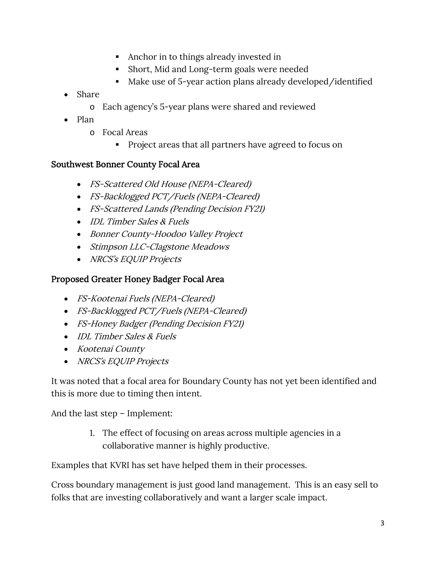- Anchor in to things already invested in
- Short, Mid and Long-term goals were needed
- Make use of 5-year action plans already developed/identified
- Share
	- o Each agency's 5-year plans were shared and reviewed
- Plan
	- o Focal Areas
		- **Project areas that all partners have agreed to focus on**

#### Southwest Bonner County Focal Area

- FS-Scattered Old House (NEPA-Cleared)
- FS-Backlogged PCT/Fuels (NEPA-Cleared)
- FS-Scattered Lands (Pending Decision FY21)
- IDL Timber Sales & Fuels
- Bonner County-Hoodoo Valley Project
- Stimpson LLC-Clagstone Meadows
- NRCS's EQUIP Projects

### Proposed Greater Honey Badger Focal Area

- FS-Kootenai Fuels (NEPA-Cleared)
- FS-Backlogged PCT/Fuels (NEPA-Cleared)
- FS-Honey Badger (Pending Decision FY21)
- IDL Timber Sales & Fuels
- Kootenai County
- NRCS's EQUIP Projects

It was noted that a focal area for Boundary County has not yet been identified and this is more due to timing then intent.

And the last step – Implement:

1. The effect of focusing on areas across multiple agencies in a collaborative manner is highly productive.

Examples that KVRI has set have helped them in their processes.

Cross boundary management is just good land management. This is an easy sell to folks that are investing collaboratively and want a larger scale impact.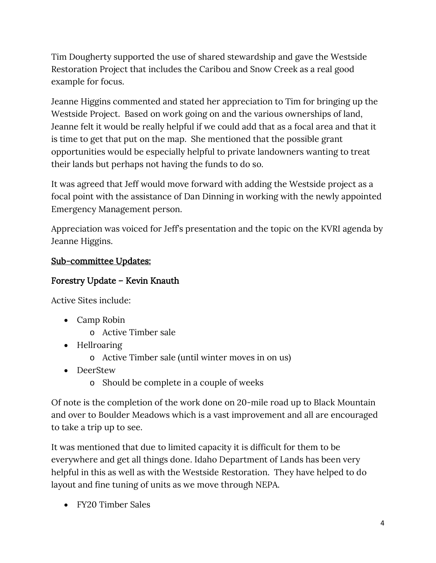Tim Dougherty supported the use of shared stewardship and gave the Westside Restoration Project that includes the Caribou and Snow Creek as a real good example for focus.

Jeanne Higgins commented and stated her appreciation to Tim for bringing up the Westside Project. Based on work going on and the various ownerships of land, Jeanne felt it would be really helpful if we could add that as a focal area and that it is time to get that put on the map. She mentioned that the possible grant opportunities would be especially helpful to private landowners wanting to treat their lands but perhaps not having the funds to do so.

It was agreed that Jeff would move forward with adding the Westside project as a focal point with the assistance of Dan Dinning in working with the newly appointed Emergency Management person.

Appreciation was voiced for Jeff's presentation and the topic on the KVRI agenda by Jeanne Higgins.

## Sub-committee Updates:

# Forestry Update – Kevin Knauth

Active Sites include:

- Camp Robin
	- o Active Timber sale
- Hellroaring
	- o Active Timber sale (until winter moves in on us)
- DeerStew
	- o Should be complete in a couple of weeks

Of note is the completion of the work done on 20-mile road up to Black Mountain and over to Boulder Meadows which is a vast improvement and all are encouraged to take a trip up to see.

It was mentioned that due to limited capacity it is difficult for them to be everywhere and get all things done. Idaho Department of Lands has been very helpful in this as well as with the Westside Restoration. They have helped to do layout and fine tuning of units as we move through NEPA.

• FY20 Timber Sales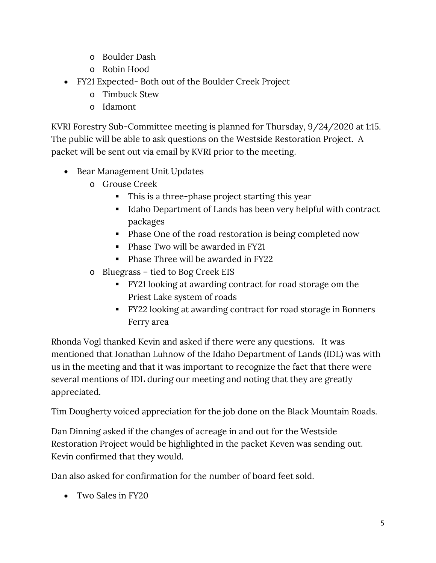- o Boulder Dash
- o Robin Hood
- FY21 Expected- Both out of the Boulder Creek Project
	- o Timbuck Stew
	- o Idamont

KVRI Forestry Sub-Committee meeting is planned for Thursday, 9/24/2020 at 1:15. The public will be able to ask questions on the Westside Restoration Project. A packet will be sent out via email by KVRI prior to the meeting.

- Bear Management Unit Updates
	- o Grouse Creek
		- This is a three-phase project starting this year
		- Idaho Department of Lands has been very helpful with contract packages
		- Phase One of the road restoration is being completed now
		- Phase Two will be awarded in FY21
		- Phase Three will be awarded in FY22
	- o Bluegrass tied to Bog Creek EIS
		- FY21 looking at awarding contract for road storage om the Priest Lake system of roads
		- FY22 looking at awarding contract for road storage in Bonners Ferry area

Rhonda Vogl thanked Kevin and asked if there were any questions. It was mentioned that Jonathan Luhnow of the Idaho Department of Lands (IDL) was with us in the meeting and that it was important to recognize the fact that there were several mentions of IDL during our meeting and noting that they are greatly appreciated.

Tim Dougherty voiced appreciation for the job done on the Black Mountain Roads.

Dan Dinning asked if the changes of acreage in and out for the Westside Restoration Project would be highlighted in the packet Keven was sending out. Kevin confirmed that they would.

Dan also asked for confirmation for the number of board feet sold.

• Two Sales in FY20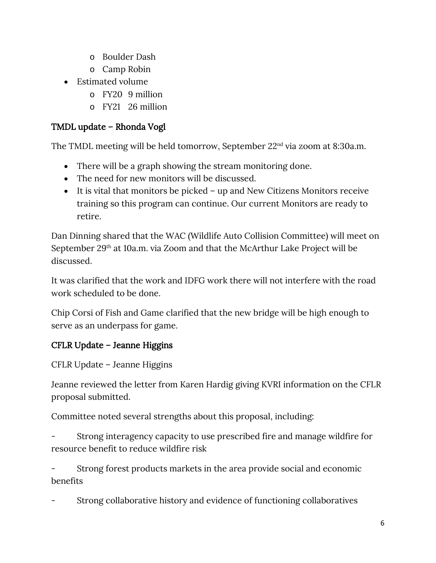- o Boulder Dash
- o Camp Robin
- Estimated volume
	- o FY20 9 million
	- o FY21 26 million

#### TMDL update – Rhonda Vogl

The TMDL meeting will be held tomorrow, September 22<sup>nd</sup> via zoom at 8:30a.m.

- There will be a graph showing the stream monitoring done.
- The need for new monitors will be discussed.
- It is vital that monitors be picked up and New Citizens Monitors receive training so this program can continue. Our current Monitors are ready to retire.

Dan Dinning shared that the WAC (Wildlife Auto Collision Committee) will meet on September 29<sup>th</sup> at 10a.m. via Zoom and that the McArthur Lake Project will be discussed.

It was clarified that the work and IDFG work there will not interfere with the road work scheduled to be done.

Chip Corsi of Fish and Game clarified that the new bridge will be high enough to serve as an underpass for game.

## CFLR Update – Jeanne Higgins

CFLR Update – Jeanne Higgins

Jeanne reviewed the letter from Karen Hardig giving KVRI information on the CFLR proposal submitted.

Committee noted several strengths about this proposal, including:

Strong interagency capacity to use prescribed fire and manage wildfire for resource benefit to reduce wildfire risk

- Strong forest products markets in the area provide social and economic benefits

Strong collaborative history and evidence of functioning collaboratives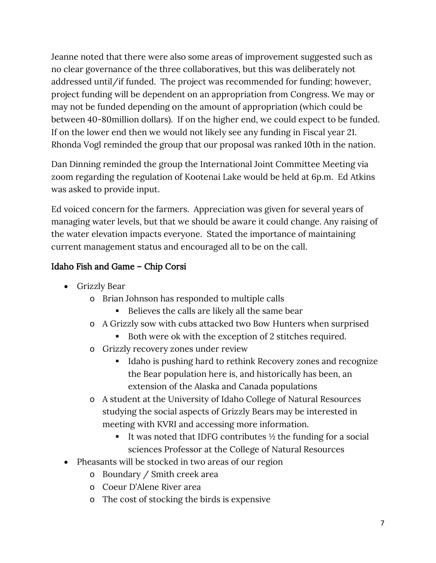Jeanne noted that there were also some areas of improvement suggested such as no clear governance of the three collaboratives, but this was deliberately not addressed until/if funded. The project was recommended for funding; however, project funding will be dependent on an appropriation from Congress. We may or may not be funded depending on the amount of appropriation (which could be between 40-80million dollars). If on the higher end, we could expect to be funded. If on the lower end then we would not likely see any funding in Fiscal year 21. Rhonda Vogl reminded the group that our proposal was ranked 10th in the nation.

Dan Dinning reminded the group the International Joint Committee Meeting via zoom regarding the regulation of Kootenai Lake would be held at 6p.m. Ed Atkins was asked to provide input.

Ed voiced concern for the farmers. Appreciation was given for several years of managing water levels, but that we should be aware it could change. Any raising of the water elevation impacts everyone. Stated the importance of maintaining current management status and encouraged all to be on the call.

# Idaho Fish and Game – Chip Corsi

- Grizzly Bear
	- o Brian Johnson has responded to multiple calls
		- Believes the calls are likely all the same bear
	- o A Grizzly sow with cubs attacked two Bow Hunters when surprised
		- Both were ok with the exception of 2 stitches required.
	- o Grizzly recovery zones under review
		- Idaho is pushing hard to rethink Recovery zones and recognize the Bear population here is, and historically has been, an extension of the Alaska and Canada populations
	- o A student at the University of Idaho College of Natural Resources studying the social aspects of Grizzly Bears may be interested in meeting with KVRI and accessing more information.
		- It was noted that IDFG contributes  $\frac{1}{2}$  the funding for a social sciences Professor at the College of Natural Resources
- Pheasants will be stocked in two areas of our region
	- o Boundary / Smith creek area
	- o Coeur D'Alene River area
	- o The cost of stocking the birds is expensive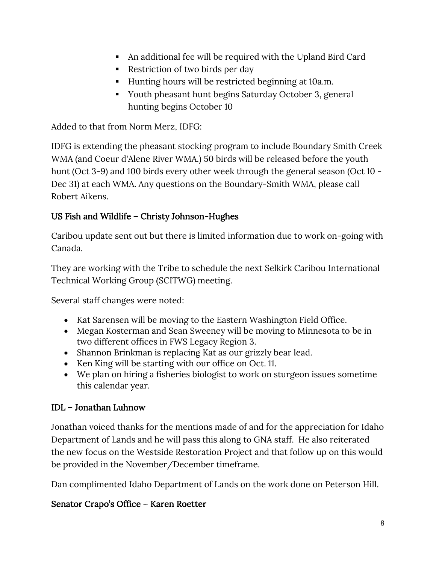- An additional fee will be required with the Upland Bird Card
- Restriction of two birds per day
- Hunting hours will be restricted beginning at 10a.m.
- Youth pheasant hunt begins Saturday October 3, general hunting begins October 10

Added to that from Norm Merz, IDFG:

IDFG is extending the pheasant stocking program to include Boundary Smith Creek WMA (and Coeur d'Alene River WMA.) 50 birds will be released before the youth hunt (Oct 3-9) and 100 birds every other week through the general season (Oct 10 - Dec 31) at each WMA. Any questions on the Boundary-Smith WMA, please call Robert Aikens.

## US Fish and Wildlife – Christy Johnson-Hughes

Caribou update sent out but there is limited information due to work on-going with Canada.

They are working with the Tribe to schedule the next Selkirk Caribou International Technical Working Group (SCITWG) meeting.

Several staff changes were noted:

- Kat Sarensen will be moving to the Eastern Washington Field Office.
- Megan Kosterman and Sean Sweeney will be moving to Minnesota to be in two different offices in FWS Legacy Region 3.
- Shannon Brinkman is replacing Kat as our grizzly bear lead.
- Ken King will be starting with our office on Oct. 11.
- We plan on hiring a fisheries biologist to work on sturgeon issues sometime this calendar year.

#### IDL – Jonathan Luhnow

Jonathan voiced thanks for the mentions made of and for the appreciation for Idaho Department of Lands and he will pass this along to GNA staff. He also reiterated the new focus on the Westside Restoration Project and that follow up on this would be provided in the November/December timeframe.

Dan complimented Idaho Department of Lands on the work done on Peterson Hill.

## Senator Crapo's Office – Karen Roetter